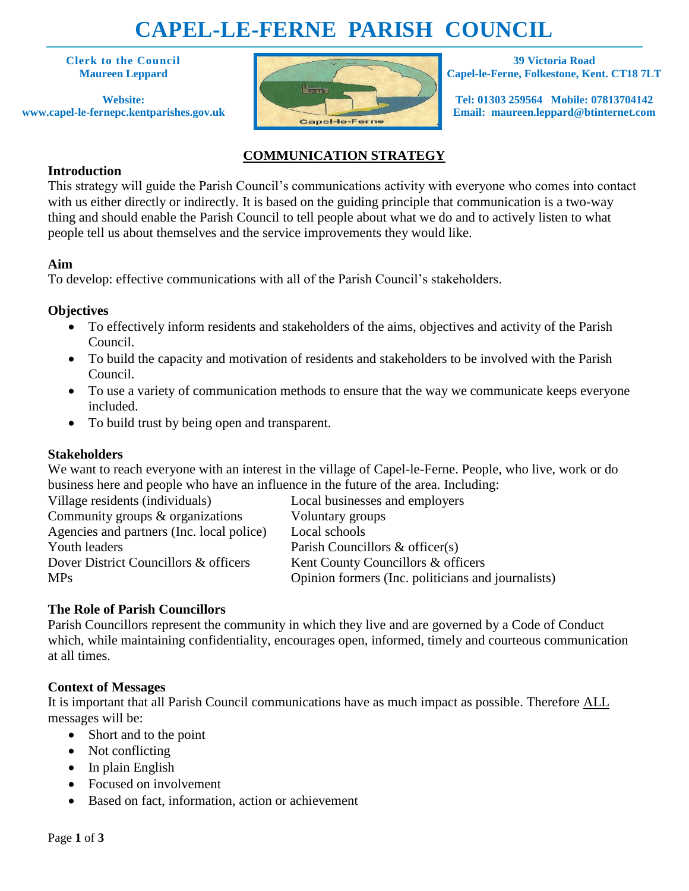# **CAPEL-LE-FERNE PARISH COUNCIL**

**Clerk to the Council Maureen Leppard**

**Website: www.capel-le-fernepc.kentparishes.gov.uk**



**39 Victoria Road Capel-le-Ferne, Folkestone, Kent. CT18 7LT**

**Tel: 01303 259564 Mobile: 07813704142 Email: maureen.leppard@btinternet.com**

# **COMMUNICATION STRATEGY**

## **Introduction**

This strategy will guide the Parish Council's communications activity with everyone who comes into contact with us either directly or indirectly. It is based on the guiding principle that communication is a two-way thing and should enable the Parish Council to tell people about what we do and to actively listen to what people tell us about themselves and the service improvements they would like.

## **Aim**

To develop: effective communications with all of the Parish Council's stakeholders.

## **Objectives**

- To effectively inform residents and stakeholders of the aims, objectives and activity of the Parish Council.
- To build the capacity and motivation of residents and stakeholders to be involved with the Parish Council.
- To use a variety of communication methods to ensure that the way we communicate keeps everyone included.
- To build trust by being open and transparent.

# **Stakeholders**

We want to reach everyone with an interest in the village of Capel-le-Ferne. People, who live, work or do business here and people who have an influence in the future of the area. Including:

| Village residents (individuals)           | Local businesses and employers                     |
|-------------------------------------------|----------------------------------------------------|
| Community groups & organizations          | Voluntary groups                                   |
| Agencies and partners (Inc. local police) | Local schools                                      |
| Youth leaders                             | Parish Councillors & officer(s)                    |
| Dover District Councillors & officers     | Kent County Councillors & officers                 |
| <b>MPs</b>                                | Opinion formers (Inc. politicians and journalists) |
|                                           |                                                    |

# **The Role of Parish Councillors**

Parish Councillors represent the community in which they live and are governed by a Code of Conduct which, while maintaining confidentiality, encourages open, informed, timely and courteous communication at all times.

#### **Context of Messages**

It is important that all Parish Council communications have as much impact as possible. Therefore ALL messages will be:

- Short and to the point
- Not conflicting
- $\bullet$  In plain English
- Focused on involvement
- Based on fact, information, action or achievement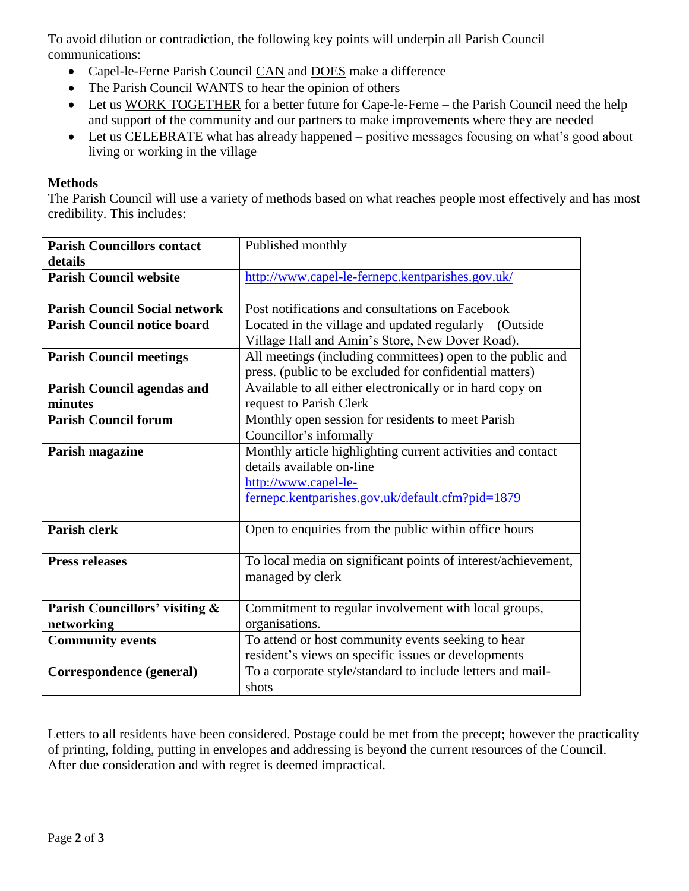To avoid dilution or contradiction, the following key points will underpin all Parish Council communications:

- Capel-le-Ferne Parish Council CAN and DOES make a difference
- The Parish Council WANTS to hear the opinion of others
- Let us WORK TOGETHER for a better future for Cape-le-Ferne the Parish Council need the help and support of the community and our partners to make improvements where they are needed
- Let us CELEBRATE what has already happened positive messages focusing on what's good about living or working in the village

#### **Methods**

The Parish Council will use a variety of methods based on what reaches people most effectively and has most credibility. This includes:

| <b>Parish Councillors contact</b>    | Published monthly                                             |
|--------------------------------------|---------------------------------------------------------------|
| details                              |                                                               |
| <b>Parish Council website</b>        | http://www.capel-le-fernepc.kentparishes.gov.uk/              |
|                                      |                                                               |
| <b>Parish Council Social network</b> | Post notifications and consultations on Facebook              |
| <b>Parish Council notice board</b>   | Located in the village and updated regularly $-$ (Outside     |
|                                      | Village Hall and Amin's Store, New Dover Road).               |
| <b>Parish Council meetings</b>       | All meetings (including committees) open to the public and    |
|                                      | press. (public to be excluded for confidential matters)       |
| <b>Parish Council agendas and</b>    | Available to all either electronically or in hard copy on     |
| minutes                              | request to Parish Clerk                                       |
| <b>Parish Council forum</b>          | Monthly open session for residents to meet Parish             |
|                                      | Councillor's informally                                       |
| Parish magazine                      | Monthly article highlighting current activities and contact   |
|                                      | details available on-line                                     |
|                                      | http://www.capel-le-                                          |
|                                      | fernepc.kentparishes.gov.uk/default.cfm?pid=1879              |
|                                      |                                                               |
| <b>Parish clerk</b>                  | Open to enquiries from the public within office hours         |
|                                      |                                                               |
| <b>Press releases</b>                | To local media on significant points of interest/achievement, |
|                                      | managed by clerk                                              |
|                                      |                                                               |
| Parish Councillors' visiting &       | Commitment to regular involvement with local groups,          |
| networking                           | organisations.                                                |
| <b>Community events</b>              | To attend or host community events seeking to hear            |
|                                      | resident's views on specific issues or developments           |
| Correspondence (general)             | To a corporate style/standard to include letters and mail-    |
|                                      | shots                                                         |

Letters to all residents have been considered. Postage could be met from the precept; however the practicality of printing, folding, putting in envelopes and addressing is beyond the current resources of the Council. After due consideration and with regret is deemed impractical.